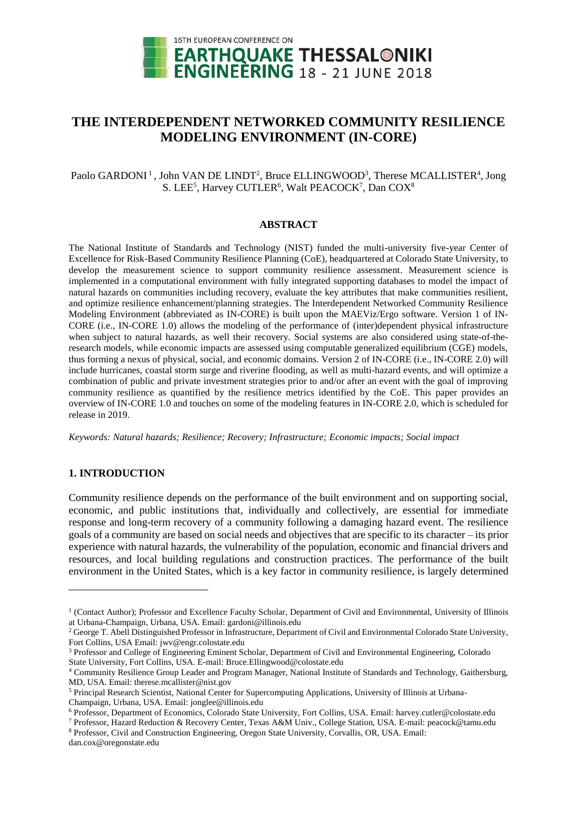

# **THE INTERDEPENDENT NETWORKED COMMUNITY RESILIENCE MODELING ENVIRONMENT (IN-CORE)**

#### Paolo GARDONI<sup>1</sup>, John VAN DE LINDT<sup>2</sup>, Bruce ELLINGWOOD<sup>3</sup>, Therese MCALLISTER<sup>4</sup>, Jong S. LEE<sup>5</sup>, Harvey CUTLER<sup>6</sup>, Walt PEACOCK<sup>7</sup>, Dan COX<sup>8</sup>

#### **ABSTRACT**

The National Institute of Standards and Technology (NIST) funded the multi-university five-year Center of Excellence for Risk-Based Community Resilience Planning (CoE), headquartered at Colorado State University, to develop the measurement science to support community resilience assessment. Measurement science is implemented in a computational environment with fully integrated supporting databases to model the impact of natural hazards on communities including recovery, evaluate the key attributes that make communities resilient, and optimize resilience enhancement/planning strategies. The Interdependent Networked Community Resilience Modeling Environment (abbreviated as IN-CORE) is built upon the MAEViz/Ergo software. Version 1 of IN-CORE (i.e., IN-CORE 1.0) allows the modeling of the performance of (inter)dependent physical infrastructure when subject to natural hazards, as well their recovery. Social systems are also considered using state-of-theresearch models, while economic impacts are assessed using computable generalized equilibrium (CGE) models, thus forming a nexus of physical, social, and economic domains. Version 2 of IN-CORE (i.e., IN-CORE 2.0) will include hurricanes, coastal storm surge and riverine flooding, as well as multi-hazard events, and will optimize a combination of public and private investment strategies prior to and/or after an event with the goal of improving community resilience as quantified by the resilience metrics identified by the CoE. This paper provides an overview of IN-CORE 1.0 and touches on some of the modeling features in IN-CORE 2.0, which is scheduled for release in 2019.

*Keywords: Natural hazards; Resilience; Recovery; Infrastructure; Economic impacts; Social impact*

#### **1. INTRODUCTION**

 $\overline{a}$ 

Community resilience depends on the performance of the built environment and on supporting social, economic, and public institutions that, individually and collectively, are essential for immediate response and long-term recovery of a community following a damaging hazard event. The resilience goals of a community are based on social needs and objectives that are specific to its character – its prior experience with natural hazards, the vulnerability of the population, economic and financial drivers and resources, and local building regulations and construction practices. The performance of the built environment in the United States, which is a key factor in community resilience, is largely determined

<sup>&</sup>lt;sup>1</sup> (Contact Author); Professor and Excellence Faculty Scholar, Department of Civil and Environmental, University of Illinois at Urbana-Champaign, Urbana, USA. Email: gardoni@illinois.edu

<sup>&</sup>lt;sup>2</sup> George T. Abell Distinguished Professor in Infrastructure, Department of Civil and Environmental Colorado State University, Fort Collins, USA Email: jwv@engr.colostate.edu

<sup>3</sup> Professor and College of Engineering Eminent Scholar, Department of Civil and Environmental Engineering, Colorado State University, Fort Collins, USA. E-mail: Bruce.Ellingwood@colostate.edu

<sup>4</sup> Community Resilience Group Leader and Program Manager, National Institute of Standards and Technology, Gaithersburg, MD, USA. Email: therese.mcallister@nist.gov

<sup>5</sup> Principal Research Scientist, National Center for Supercomputing Applications, University of Illinois at Urbana-

Champaign, Urbana, USA. Email: jonglee@illinois.edu

<sup>6</sup> Professor, Department of Economics, Colorado State University, Fort Collins, USA. Email[: harvey.cutler@colostate.edu](mailto:gabriele.tamagnone@phd.units.it)

<sup>7</sup> Professor, Hazard Reduction & Recovery Center, Texas A&M Univ., College Station, USA. E-mail: peacock@tamu.edu <sup>8</sup> Professor, Civil and Construction Engineering, Oregon State University, Corvallis, OR, USA. Email:

[dan.cox@oregonstate.edu](mailto:dan.cox@oregonstate.edu)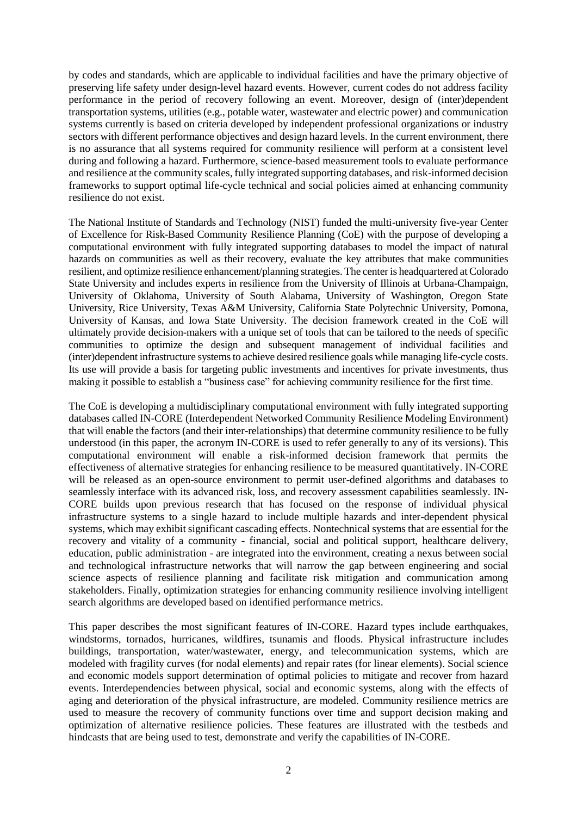by codes and standards, which are applicable to individual facilities and have the primary objective of preserving life safety under design-level hazard events. However, current codes do not address facility performance in the period of recovery following an event. Moreover, design of (inter)dependent transportation systems, utilities (e.g., potable water, wastewater and electric power) and communication systems currently is based on criteria developed by independent professional organizations or industry sectors with different performance objectives and design hazard levels. In the current environment, there is no assurance that all systems required for community resilience will perform at a consistent level during and following a hazard. Furthermore, science-based measurement tools to evaluate performance and resilience at the community scales, fully integrated supporting databases, and risk-informed decision frameworks to support optimal life-cycle technical and social policies aimed at enhancing community resilience do not exist.

The National Institute of Standards and Technology (NIST) funded the multi-university five-year Center of Excellence for Risk-Based Community Resilience Planning (CoE) with the purpose of developing a computational environment with fully integrated supporting databases to model the impact of natural hazards on communities as well as their recovery, evaluate the key attributes that make communities resilient, and optimize resilience enhancement/planning strategies. The center is headquartered at Colorado State University and includes experts in resilience from the University of Illinois at Urbana-Champaign, University of Oklahoma, University of South Alabama, University of Washington, Oregon State University, Rice University, Texas A&M University, California State Polytechnic University, Pomona, University of Kansas, and Iowa State University. The decision framework created in the CoE will ultimately provide decision-makers with a unique set of tools that can be tailored to the needs of specific communities to optimize the design and subsequent management of individual facilities and (inter)dependent infrastructure systems to achieve desired resilience goals while managing life-cycle costs. Its use will provide a basis for targeting public investments and incentives for private investments, thus making it possible to establish a "business case" for achieving community resilience for the first time.

The CoE is developing a multidisciplinary computational environment with fully integrated supporting databases called IN-CORE (Interdependent Networked Community Resilience Modeling Environment) that will enable the factors (and their inter-relationships) that determine community resilience to be fully understood (in this paper, the acronym IN-CORE is used to refer generally to any of its versions). This computational environment will enable a risk-informed decision framework that permits the effectiveness of alternative strategies for enhancing resilience to be measured quantitatively. IN-CORE will be released as an open-source environment to permit user-defined algorithms and databases to seamlessly interface with its advanced risk, loss, and recovery assessment capabilities seamlessly. IN-CORE builds upon previous research that has focused on the response of individual physical infrastructure systems to a single hazard to include multiple hazards and inter-dependent physical systems, which may exhibit significant cascading effects. Nontechnical systems that are essential for the recovery and vitality of a community - financial, social and political support, healthcare delivery, education, public administration - are integrated into the environment, creating a nexus between social and technological infrastructure networks that will narrow the gap between engineering and social science aspects of resilience planning and facilitate risk mitigation and communication among stakeholders. Finally, optimization strategies for enhancing community resilience involving intelligent search algorithms are developed based on identified performance metrics.

This paper describes the most significant features of IN-CORE. Hazard types include earthquakes, windstorms, tornados, hurricanes, wildfires, tsunamis and floods. Physical infrastructure includes buildings, transportation, water/wastewater, energy, and telecommunication systems, which are modeled with fragility curves (for nodal elements) and repair rates (for linear elements). Social science and economic models support determination of optimal policies to mitigate and recover from hazard events. Interdependencies between physical, social and economic systems, along with the effects of aging and deterioration of the physical infrastructure, are modeled. Community resilience metrics are used to measure the recovery of community functions over time and support decision making and optimization of alternative resilience policies. These features are illustrated with the testbeds and hindcasts that are being used to test, demonstrate and verify the capabilities of IN-CORE.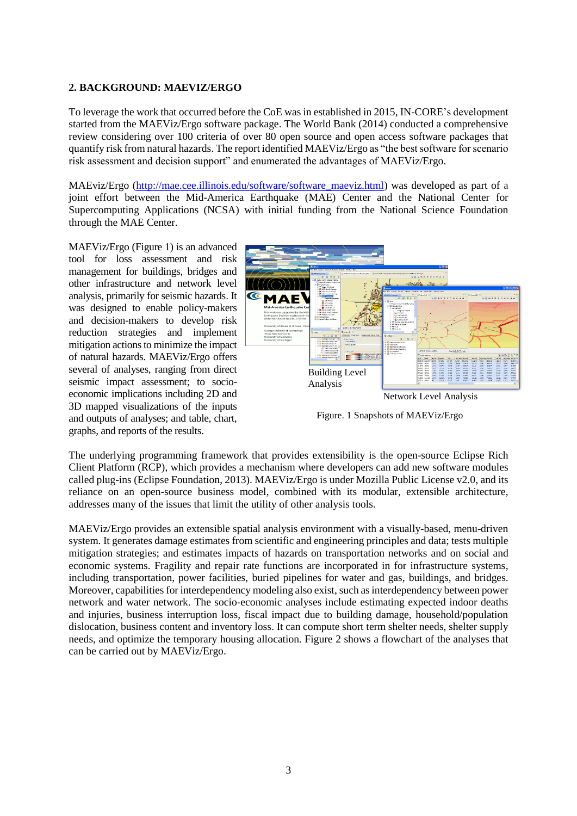#### **2. BACKGROUND: MAEVIZ/ERGO**

To leverage the work that occurred before the CoE was in established in 2015, IN-CORE's development started from the MAEViz/Ergo software package. The World Bank (2014) conducted a comprehensive review considering over 100 criteria of over 80 open source and open access software packages that quantify risk from natural hazards. The report identified MAEViz/Ergo as "the best software for scenario risk assessment and decision support" and enumerated the advantages of MAEViz/Ergo.

MAEviz/Ergo [\(http://mae.cee.illinois.edu/software/software\\_maeviz.html\)](http://mae.cee.illinois.edu/software/software_maeviz.html) was developed as part of a joint effort between the Mid-America Earthquake (MAE) Center and the National Center for Supercomputing Applications (NCSA) with initial funding from the National Science Foundation through the MAE Center.

MAEViz/Ergo (Figure 1) is an advanced tool for loss assessment and risk management for buildings, bridges and other infrastructure and network level analysis, primarily for seismic hazards. It was designed to enable policy-makers and decision-makers to develop risk reduction strategies and implement mitigation actions to minimize the impact of natural hazards. MAEViz/Ergo offers several of analyses, ranging from direct seismic impact assessment; to socioeconomic implications including 2D and 3D mapped visualizations of the inputs and outputs of analyses; and table, chart, graphs, and reports of the results.



Figure. 1 Snapshots of MAEViz/Ergo

The underlying programming framework that provides extensibility is the open-source Eclipse Rich Client Platform (RCP), which provides a mechanism where developers can add new software modules called plug-ins (Eclipse Foundation, 2013). MAEViz/Ergo is under Mozilla Public License v2.0, and its reliance on an open-source business model, combined with its modular, extensible architecture, addresses many of the issues that limit the utility of other analysis tools.

MAEViz/Ergo provides an extensible spatial analysis environment with a visually-based, menu-driven system. It generates damage estimates from scientific and engineering principles and data; tests multiple mitigation strategies; and estimates impacts of hazards on transportation networks and on social and economic systems. Fragility and repair rate functions are incorporated in for infrastructure systems, including transportation, power facilities, buried pipelines for water and gas, buildings, and bridges. Moreover, capabilities for interdependency modeling also exist, such as interdependency between power network and water network. The socio-economic analyses include estimating expected indoor deaths and injuries, business interruption loss, fiscal impact due to building damage, household/population dislocation, business content and inventory loss. It can compute short term shelter needs, shelter supply needs, and optimize the temporary housing allocation. Figure 2 shows a flowchart of the analyses that can be carried out by MAEViz/Ergo.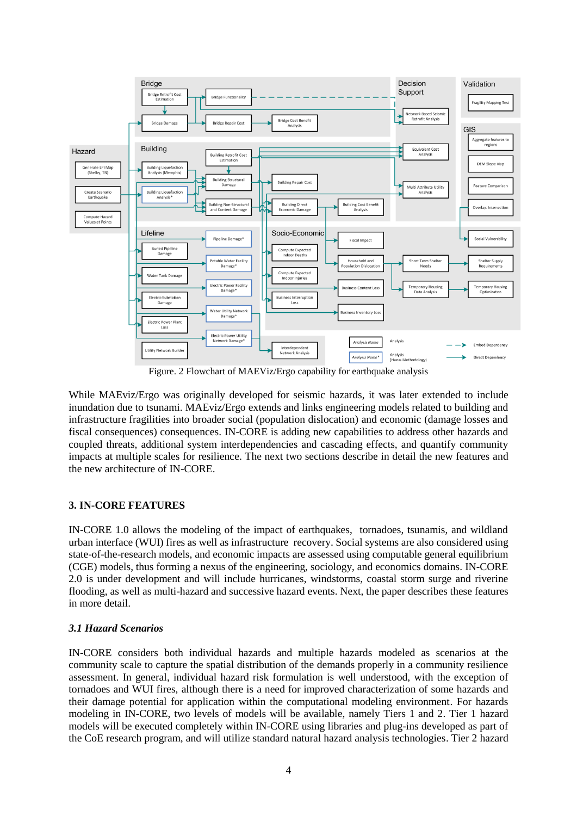

Figure. 2 Flowchart of MAEViz/Ergo capability for earthquake analysis

While MAEviz/Ergo was originally developed for seismic hazards, it was later extended to include inundation due to tsunami. MAEviz/Ergo extends and links engineering models related to building and infrastructure fragilities into broader social (population dislocation) and economic (damage losses and fiscal consequences) consequences. IN-CORE is adding new capabilities to address other hazards and coupled threats, additional system interdependencies and cascading effects, and quantify community impacts at multiple scales for resilience. The next two sections describe in detail the new features and the new architecture of IN-CORE.

### **3. IN-CORE FEATURES**

IN-CORE 1.0 allows the modeling of the impact of earthquakes, tornadoes, tsunamis, and wildland urban interface (WUI) fires as well as infrastructure recovery. Social systems are also considered using state-of-the-research models, and economic impacts are assessed using computable general equilibrium (CGE) models, thus forming a nexus of the engineering, sociology, and economics domains. IN-CORE 2.0 is under development and will include hurricanes, windstorms, coastal storm surge and riverine flooding, as well as multi-hazard and successive hazard events. Next, the paper describes these features in more detail.

### *3.1 Hazard Scenarios*

IN-CORE considers both individual hazards and multiple hazards modeled as scenarios at the community scale to capture the spatial distribution of the demands properly in a community resilience assessment. In general, individual hazard risk formulation is well understood, with the exception of tornadoes and WUI fires, although there is a need for improved characterization of some hazards and their damage potential for application within the computational modeling environment. For hazards modeling in IN-CORE, two levels of models will be available, namely Tiers 1 and 2. Tier 1 hazard models will be executed completely within IN-CORE using libraries and plug-ins developed as part of the CoE research program, and will utilize standard natural hazard analysis technologies. Tier 2 hazard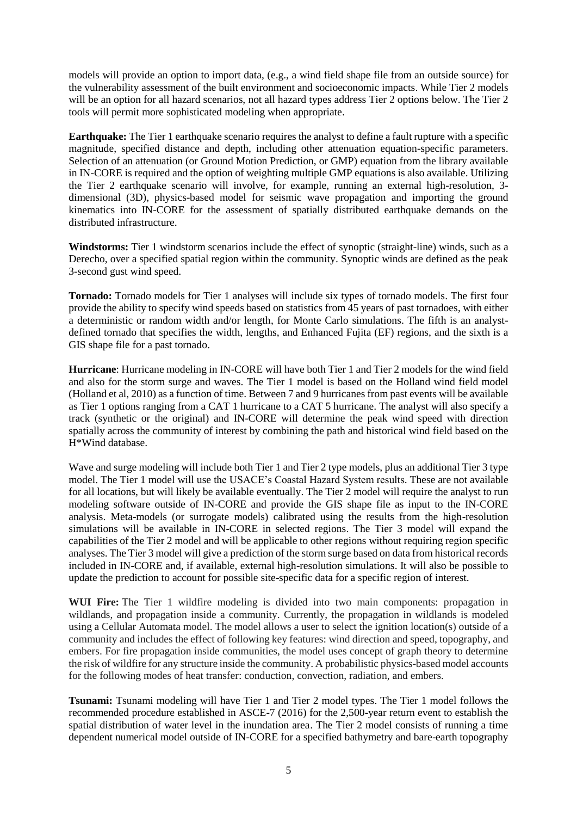models will provide an option to import data, (e.g., a wind field shape file from an outside source) for the vulnerability assessment of the built environment and socioeconomic impacts. While Tier 2 models will be an option for all hazard scenarios, not all hazard types address Tier 2 options below. The Tier 2 tools will permit more sophisticated modeling when appropriate.

**Earthquake:** The Tier 1 earthquake scenario requires the analyst to define a fault rupture with a specific magnitude, specified distance and depth, including other attenuation equation-specific parameters. Selection of an attenuation (or Ground Motion Prediction, or GMP) equation from the library available in IN-CORE is required and the option of weighting multiple GMP equations is also available. Utilizing the Tier 2 earthquake scenario will involve, for example, running an external high-resolution, 3 dimensional (3D), physics-based model for seismic wave propagation and importing the ground kinematics into IN-CORE for the assessment of spatially distributed earthquake demands on the distributed infrastructure.

**Windstorms:** Tier 1 windstorm scenarios include the effect of synoptic (straight-line) winds, such as a Derecho, over a specified spatial region within the community. Synoptic winds are defined as the peak 3-second gust wind speed.

**Tornado:** Tornado models for Tier 1 analyses will include six types of tornado models. The first four provide the ability to specify wind speeds based on statistics from 45 years of past tornadoes, with either a deterministic or random width and/or length, for Monte Carlo simulations. The fifth is an analystdefined tornado that specifies the width, lengths, and Enhanced Fujita (EF) regions, and the sixth is a GIS shape file for a past tornado.

**Hurricane**: Hurricane modeling in IN-CORE will have both Tier 1 and Tier 2 models for the wind field and also for the storm surge and waves. The Tier 1 model is based on the Holland wind field model (Holland et al, 2010) as a function of time. Between 7 and 9 hurricanes from past events will be available as Tier 1 options ranging from a CAT 1 hurricane to a CAT 5 hurricane. The analyst will also specify a track (synthetic or the original) and IN-CORE will determine the peak wind speed with direction spatially across the community of interest by combining the path and historical wind field based on the H\*Wind database.

Wave and surge modeling will include both Tier 1 and Tier 2 type models, plus an additional Tier 3 type model. The Tier 1 model will use the USACE's Coastal Hazard System results. These are not available for all locations, but will likely be available eventually. The Tier 2 model will require the analyst to run modeling software outside of IN-CORE and provide the GIS shape file as input to the IN-CORE analysis. Meta-models (or surrogate models) calibrated using the results from the high-resolution simulations will be available in IN-CORE in selected regions. The Tier 3 model will expand the capabilities of the Tier 2 model and will be applicable to other regions without requiring region specific analyses. The Tier 3 model will give a prediction of the storm surge based on data from historical records included in IN-CORE and, if available, external high-resolution simulations. It will also be possible to update the prediction to account for possible site-specific data for a specific region of interest.

**WUI Fire:** The Tier 1 wildfire modeling is divided into two main components: propagation in wildlands, and propagation inside a community. Currently, the propagation in wildlands is modeled using a Cellular Automata model. The model allows a user to select the ignition location(s) outside of a community and includes the effect of following key features: wind direction and speed, topography, and embers. For fire propagation inside communities, the model uses concept of graph theory to determine the risk of wildfire for any structure inside the community. A probabilistic physics-based model accounts for the following modes of heat transfer: conduction, convection, radiation, and embers.

**Tsunami:** Tsunami modeling will have Tier 1 and Tier 2 model types. The Tier 1 model follows the recommended procedure established in ASCE-7 (2016) for the 2,500-year return event to establish the spatial distribution of water level in the inundation area. The Tier 2 model consists of running a time dependent numerical model outside of IN-CORE for a specified bathymetry and bare-earth topography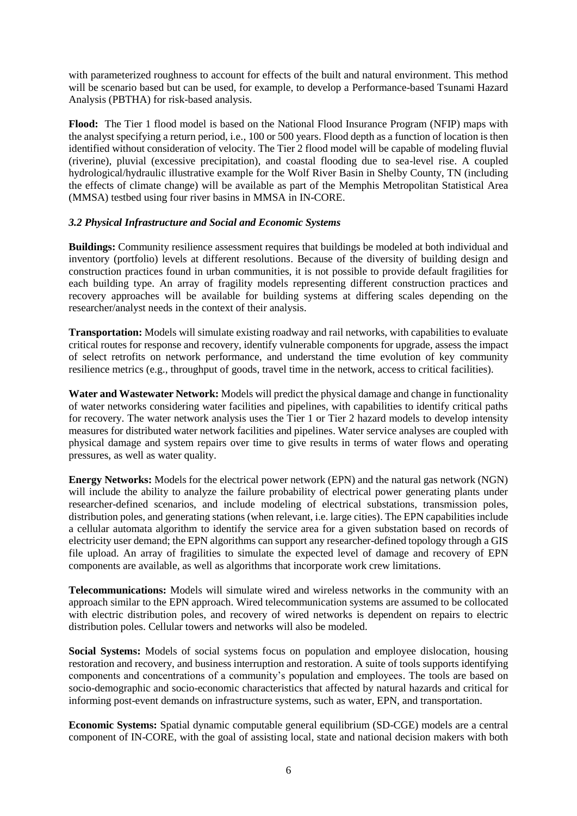with parameterized roughness to account for effects of the built and natural environment. This method will be scenario based but can be used, for example, to develop a Performance-based Tsunami Hazard Analysis (PBTHA) for risk-based analysis.

**Flood:** The Tier 1 flood model is based on the National Flood Insurance Program (NFIP) maps with the analyst specifying a return period, i.e., 100 or 500 years. Flood depth as a function of location is then identified without consideration of velocity. The Tier 2 flood model will be capable of modeling fluvial (riverine), pluvial (excessive precipitation), and coastal flooding due to sea-level rise. A coupled hydrological/hydraulic illustrative example for the Wolf River Basin in Shelby County, TN (including the effects of climate change) will be available as part of the Memphis Metropolitan Statistical Area (MMSA) testbed using four river basins in MMSA in IN-CORE.

#### *3.2 Physical Infrastructure and Social and Economic Systems*

**Buildings:** Community resilience assessment requires that buildings be modeled at both individual and inventory (portfolio) levels at different resolutions. Because of the diversity of building design and construction practices found in urban communities, it is not possible to provide default fragilities for each building type. An array of fragility models representing different construction practices and recovery approaches will be available for building systems at differing scales depending on the researcher/analyst needs in the context of their analysis.

**Transportation:** Models will simulate existing roadway and rail networks, with capabilities to evaluate critical routes for response and recovery, identify vulnerable components for upgrade, assess the impact of select retrofits on network performance, and understand the time evolution of key community resilience metrics (e.g., throughput of goods, travel time in the network, access to critical facilities).

**Water and Wastewater Network:** Models will predict the physical damage and change in functionality of water networks considering water facilities and pipelines, with capabilities to identify critical paths for recovery. The water network analysis uses the Tier 1 or Tier 2 hazard models to develop intensity measures for distributed water network facilities and pipelines. Water service analyses are coupled with physical damage and system repairs over time to give results in terms of water flows and operating pressures, as well as water quality.

**Energy Networks:** Models for the electrical power network (EPN) and the natural gas network (NGN) will include the ability to analyze the failure probability of electrical power generating plants under researcher-defined scenarios, and include modeling of electrical substations, transmission poles, distribution poles, and generating stations (when relevant, i.e. large cities). The EPN capabilities include a cellular automata algorithm to identify the service area for a given substation based on records of electricity user demand; the EPN algorithms can support any researcher-defined topology through a GIS file upload. An array of fragilities to simulate the expected level of damage and recovery of EPN components are available, as well as algorithms that incorporate work crew limitations.

**Telecommunications:** Models will simulate wired and wireless networks in the community with an approach similar to the EPN approach. Wired telecommunication systems are assumed to be collocated with electric distribution poles, and recovery of wired networks is dependent on repairs to electric distribution poles. Cellular towers and networks will also be modeled.

**Social Systems:** Models of social systems focus on population and employee dislocation, housing restoration and recovery, and business interruption and restoration. A suite of tools supports identifying components and concentrations of a community's population and employees. The tools are based on socio-demographic and socio-economic characteristics that affected by natural hazards and critical for informing post-event demands on infrastructure systems, such as water, EPN, and transportation.

**Economic Systems:** Spatial dynamic computable general equilibrium (SD-CGE) models are a central component of IN-CORE, with the goal of assisting local, state and national decision makers with both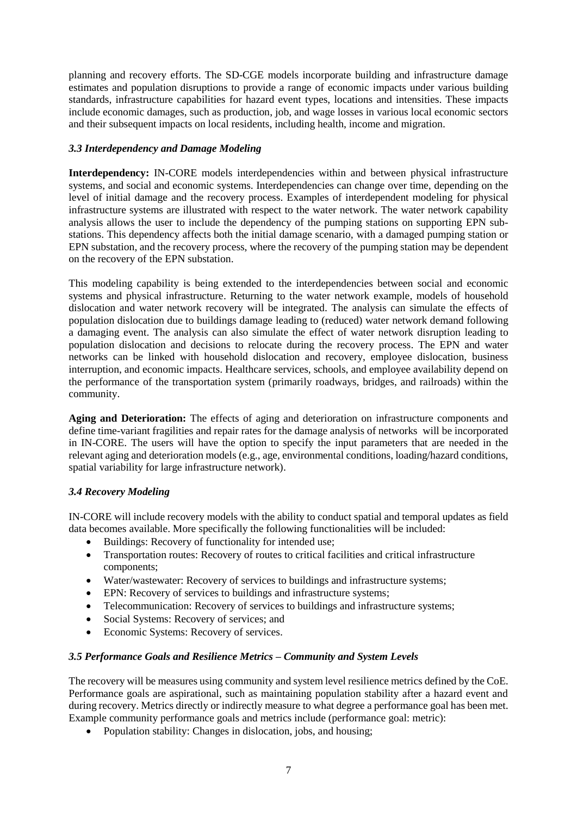planning and recovery efforts. The SD-CGE models incorporate building and infrastructure damage estimates and population disruptions to provide a range of economic impacts under various building standards, infrastructure capabilities for hazard event types, locations and intensities. These impacts include economic damages, such as production, job, and wage losses in various local economic sectors and their subsequent impacts on local residents, including health, income and migration.

### *3.3 Interdependency and Damage Modeling*

**Interdependency:** IN-CORE models interdependencies within and between physical infrastructure systems, and social and economic systems. Interdependencies can change over time, depending on the level of initial damage and the recovery process. Examples of interdependent modeling for physical infrastructure systems are illustrated with respect to the water network. The water network capability analysis allows the user to include the dependency of the pumping stations on supporting EPN substations. This dependency affects both the initial damage scenario, with a damaged pumping station or EPN substation, and the recovery process, where the recovery of the pumping station may be dependent on the recovery of the EPN substation.

This modeling capability is being extended to the interdependencies between social and economic systems and physical infrastructure. Returning to the water network example, models of household dislocation and water network recovery will be integrated. The analysis can simulate the effects of population dislocation due to buildings damage leading to (reduced) water network demand following a damaging event. The analysis can also simulate the effect of water network disruption leading to population dislocation and decisions to relocate during the recovery process. The EPN and water networks can be linked with household dislocation and recovery, employee dislocation, business interruption, and economic impacts. Healthcare services, schools, and employee availability depend on the performance of the transportation system (primarily roadways, bridges, and railroads) within the community.

**Aging and Deterioration:** The effects of aging and deterioration on infrastructure components and define time-variant fragilities and repair rates for the damage analysis of networks will be incorporated in IN-CORE. The users will have the option to specify the input parameters that are needed in the relevant aging and deterioration models (e.g., age, environmental conditions, loading/hazard conditions, spatial variability for large infrastructure network).

# *3.4 Recovery Modeling*

IN-CORE will include recovery models with the ability to conduct spatial and temporal updates as field data becomes available. More specifically the following functionalities will be included:

- Buildings: Recovery of functionality for intended use;
- Transportation routes: Recovery of routes to critical facilities and critical infrastructure components;
- Water/wastewater: Recovery of services to buildings and infrastructure systems:
- EPN: Recovery of services to buildings and infrastructure systems;
- Telecommunication: Recovery of services to buildings and infrastructure systems;
- Social Systems: Recovery of services; and
- Economic Systems: Recovery of services.

### *3.5 Performance Goals and Resilience Metrics – Community and System Levels*

The recovery will be measures using community and system level resilience metrics defined by the CoE. Performance goals are aspirational, such as maintaining population stability after a hazard event and during recovery. Metrics directly or indirectly measure to what degree a performance goal has been met. Example community performance goals and metrics include (performance goal: metric):

• Population stability: Changes in dislocation, jobs, and housing;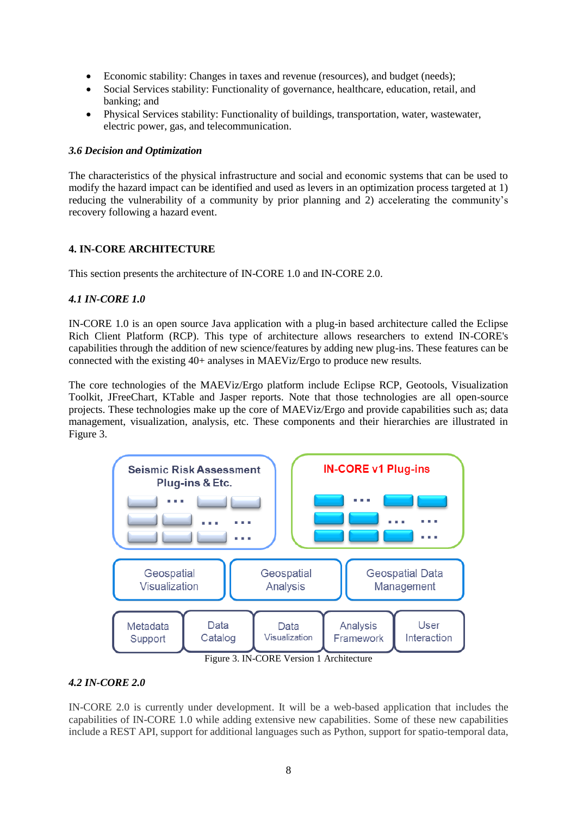- Economic stability: Changes in taxes and revenue (resources), and budget (needs);
- Social Services stability: Functionality of governance, healthcare, education, retail, and banking; and
- Physical Services stability: Functionality of buildings, transportation, water, wastewater, electric power, gas, and telecommunication.

#### *3.6 Decision and Optimization*

The characteristics of the physical infrastructure and social and economic systems that can be used to modify the hazard impact can be identified and used as levers in an optimization process targeted at 1) reducing the vulnerability of a community by prior planning and 2) accelerating the community's recovery following a hazard event.

### **4. IN-CORE ARCHITECTURE**

This section presents the architecture of IN-CORE 1.0 and IN-CORE 2.0.

### *4.1 IN-CORE 1.0*

IN-CORE 1.0 is an open source Java application with a plug-in based architecture called the Eclipse Rich Client Platform (RCP). This type of architecture allows researchers to extend IN-CORE's capabilities through the addition of new science/features by adding new plug-ins. These features can be connected with the existing 40+ analyses in MAEViz/Ergo to produce new results.

The core technologies of the MAEViz/Ergo platform include Eclipse RCP, Geotools, Visualization Toolkit, JFreeChart, KTable and Jasper reports. Note that those technologies are all open-source projects. These technologies make up the core of MAEViz/Ergo and provide capabilities such as; data management, visualization, analysis, etc. These components and their hierarchies are illustrated in [Figure 3](#page-7-0).



Figure 3. IN-CORE Version 1 Architecture

### <span id="page-7-0"></span>*4.2 IN-CORE 2.0*

IN-CORE 2.0 is currently under development. It will be a web-based application that includes the capabilities of IN-CORE 1.0 while adding extensive new capabilities. Some of these new capabilities include a REST API, support for additional languages such as Python, support for spatio-temporal data,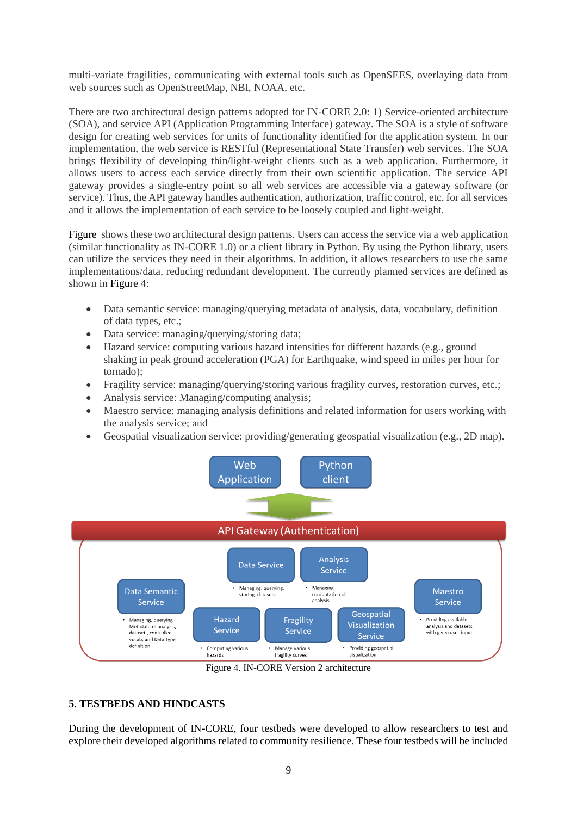multi-variate fragilities, communicating with external tools such as OpenSEES, overlaying data from web sources such as OpenStreetMap, NBI, NOAA, etc.

There are two architectural design patterns adopted for IN-CORE 2.0: 1) Service-oriented architecture (SOA), and service API (Application Programming Interface) gateway. The SOA is a style of software design for creating web services for units of functionality identified for the application system. In our implementation, the web service is RESTful (Representational State Transfer) web services. The SOA brings flexibility of developing thin/light-weight clients such as a web application. Furthermore, it allows users to access each service directly from their own scientific application. The service API gateway provides a single-entry point so all web services are accessible via a gateway software (or service). Thus, the API gateway handles authentication, authorization, traffic control, etc. for all services and it allows the implementation of each service to be loosely coupled and light-weight.

[Figure](#page-8-0) shows these two architectural design patterns. Users can access the service via a web application (similar functionality as IN-CORE 1.0) or a client library in Python. By using the Python library, users can utilize the services they need in their algorithms. In addition, it allows researchers to use the same implementations/data, reducing redundant development. The currently planned services are defined as shown i[n Figure 4](#page-8-0):

- Data semantic service: managing/querying metadata of analysis, data, vocabulary, definition of data types, etc.;
- Data service: managing/querying/storing data;
- Hazard service: computing various hazard intensities for different hazards (e.g., ground shaking in peak ground acceleration (PGA) for Earthquake, wind speed in miles per hour for tornado);
- Fragility service: managing/querying/storing various fragility curves, restoration curves, etc.;
- Analysis service: Managing/computing analysis;
- Maestro service: managing analysis definitions and related information for users working with the analysis service; and
- Geospatial visualization service: providing/generating geospatial visualization (e.g., 2D map).



Figure 4. IN-CORE Version 2 architecture

### <span id="page-8-0"></span>**5. TESTBEDS AND HINDCASTS**

During the development of IN-CORE, four testbeds were developed to allow researchers to test and explore their developed algorithms related to community resilience. These four testbeds will be included